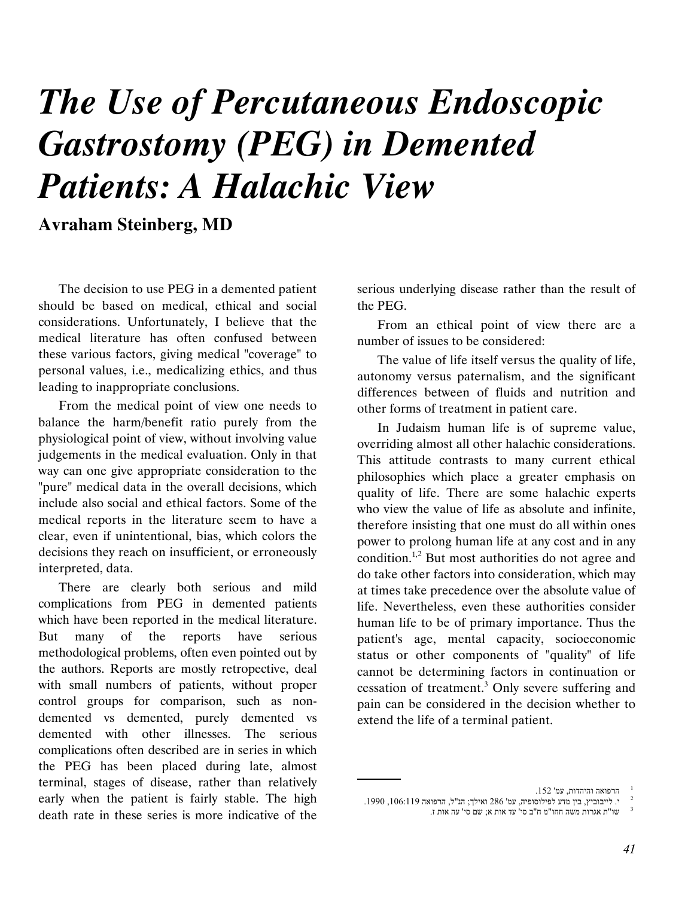## *The Use of Percutaneous Endoscopic Gastrostomy (PEG) in Demented Patients*: *A Halachic View*

## **Avraham Steinberg, MD**

The decision to use PEG in a demented patient should be based on medical, ethical and social considerations. Unfortunately, I believe that the medical literature has often confused between these various factors, giving medical "coverage" to personal values, i.e., medicalizing ethics, and thus leading to inappropriate conclusions.

From the medical point of view one needs to balance the harm/benefit ratio purely from the physiological point of view, without involving value judgements in the medical evaluation. Only in that way can one give appropriate consideration to the "pure" medical data in the overall decisions, which include also social and ethical factors. Some of the medical reports in the literature seem to have a clear, even if unintentional, bias, which colors the decisions they reach on insufficient, or erroneously interpreted, data.

There are clearly both serious and mild complications from PEG in demented patients which have been reported in the medical literature. But many of the reports have serious methodological problems, often even pointed out by the authors. Reports are mostly retropective, deal with small numbers of patients, without proper control groups for comparison, such as nondemented vs demented, purely demented vs demented with other illnesses. The serious complications often described are in series in which the PEG has been placed during late, almost terminal, stages of disease, rather than relatively early when the patient is fairly stable. The high death rate in these series is more indicative of the

serious underlying disease rather than the result of the PEG.

From an ethical point of view there are a number of issues to be considered:

The value of life itself versus the quality of life, autonomy versus paternalism, and the significant differences between of fluids and nutrition and other forms of treatment in patient care.

In Judaism human life is of supreme value, overriding almost all other halachic considerations. This attitude contrasts to many current ethical philosophies which place a greater emphasis on quality of life. There are some halachic experts who view the value of life as absolute and infinite, therefore insisting that one must do all within ones power to prolong human life at any cost and in any condition.<sup>1,2</sup> But most authorities do not agree and do take other factors into consideration, which may at times take precedence over the absolute value of life. Nevertheless, even these authorities consider human life to be of primary importance. Thus the patient's age, mental capacity, socioeconomic status or other components of "quality" of life cannot be determining factors in continuation or cessation of treatment.<sup>3</sup> Only severe suffering and pain can be considered in the decision whether to extend the life of a terminal patient.

.

1

הרפואה והיהדות, ' עמ .152

<sup>2</sup> . י. לייבוביץ, בין מדע לפילוסופיה, עמ' 286 ואילך; הנ"ל, הרפואה 106:119, 1990. 3

<sup>&</sup>quot;שו ת אגרות משה חחו"מ ח"ב סי' עד אות א; שם סי' עה אות ז.